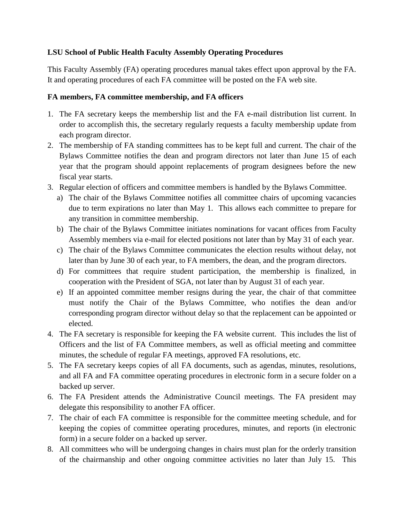### **LSU School of Public Health Faculty Assembly Operating Procedures**

This Faculty Assembly (FA) operating procedures manual takes effect upon approval by the FA. It and operating procedures of each FA committee will be posted on the FA web site.

## **FA members, FA committee membership, and FA officers**

- 1. The FA secretary keeps the membership list and the FA e-mail distribution list current. In order to accomplish this, the secretary regularly requests a faculty membership update from each program director.
- 2. The membership of FA standing committees has to be kept full and current. The chair of the Bylaws Committee notifies the dean and program directors not later than June 15 of each year that the program should appoint replacements of program designees before the new fiscal year starts.
- 3. Regular election of officers and committee members is handled by the Bylaws Committee.
	- a) The chair of the Bylaws Committee notifies all committee chairs of upcoming vacancies due to term expirations no later than May 1. This allows each committee to prepare for any transition in committee membership.
	- b) The chair of the Bylaws Committee initiates nominations for vacant offices from Faculty Assembly members via e-mail for elected positions not later than by May 31 of each year.
	- c) The chair of the Bylaws Committee communicates the election results without delay, not later than by June 30 of each year, to FA members, the dean, and the program directors.
	- d) For committees that require student participation, the membership is finalized, in cooperation with the President of SGA, not later than by August 31 of each year.
	- e) If an appointed committee member resigns during the year, the chair of that committee must notify the Chair of the Bylaws Committee, who notifies the dean and/or corresponding program director without delay so that the replacement can be appointed or elected.
- 4. The FA secretary is responsible for keeping the FA website current. This includes the list of Officers and the list of FA Committee members, as well as official meeting and committee minutes, the schedule of regular FA meetings, approved FA resolutions, etc.
- 5. The FA secretary keeps copies of all FA documents, such as agendas, minutes, resolutions, and all FA and FA committee operating procedures in electronic form in a secure folder on a backed up server.
- 6. The FA President attends the Administrative Council meetings. The FA president may delegate this responsibility to another FA officer.
- 7. The chair of each FA committee is responsible for the committee meeting schedule, and for keeping the copies of committee operating procedures, minutes, and reports (in electronic form) in a secure folder on a backed up server.
- 8. All committees who will be undergoing changes in chairs must plan for the orderly transition of the chairmanship and other ongoing committee activities no later than July 15. This